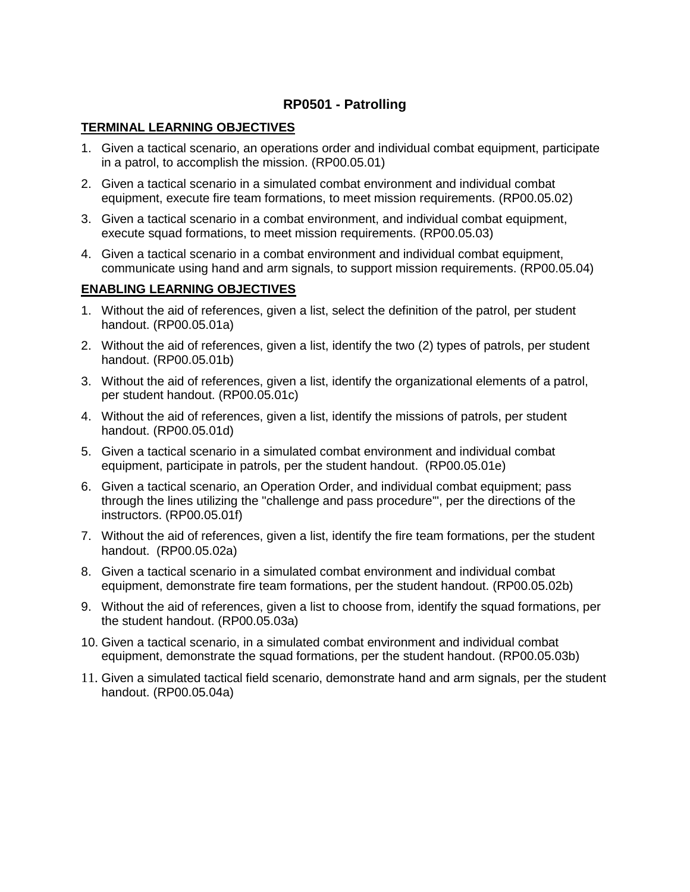## **RP0501 - Patrolling**

### **TERMINAL LEARNING OBJECTIVES**

- 1. Given a tactical scenario, an operations order and individual combat equipment, participate in a patrol, to accomplish the mission. (RP00.05.01)
- 2. Given a tactical scenario in a simulated combat environment and individual combat equipment, execute fire team formations, to meet mission requirements. (RP00.05.02)
- 3. Given a tactical scenario in a combat environment, and individual combat equipment, execute squad formations, to meet mission requirements. (RP00.05.03)
- 4. Given a tactical scenario in a combat environment and individual combat equipment, communicate using hand and arm signals, to support mission requirements. (RP00.05.04)

## **ENABLING LEARNING OBJECTIVES**

- 1. Without the aid of references, given a list, select the definition of the patrol, per student handout. (RP00.05.01a)
- 2. Without the aid of references, given a list, identify the two (2) types of patrols, per student handout. (RP00.05.01b)
- 3. Without the aid of references, given a list, identify the organizational elements of a patrol, per student handout. (RP00.05.01c)
- 4. Without the aid of references, given a list, identify the missions of patrols, per student handout. (RP00.05.01d)
- 5. Given a tactical scenario in a simulated combat environment and individual combat equipment, participate in patrols, per the student handout. (RP00.05.01e)
- 6. Given a tactical scenario, an Operation Order, and individual combat equipment; pass through the lines utilizing the "challenge and pass procedure'", per the directions of the instructors. (RP00.05.01f)
- 7. Without the aid of references, given a list, identify the fire team formations, per the student handout. (RP00.05.02a)
- 8. Given a tactical scenario in a simulated combat environment and individual combat equipment, demonstrate fire team formations, per the student handout. (RP00.05.02b)
- 9. Without the aid of references, given a list to choose from, identify the squad formations, per the student handout. (RP00.05.03a)
- 10. Given a tactical scenario, in a simulated combat environment and individual combat equipment, demonstrate the squad formations, per the student handout. (RP00.05.03b)
- 11. Given a simulated tactical field scenario, demonstrate hand and arm signals, per the student handout. (RP00.05.04a)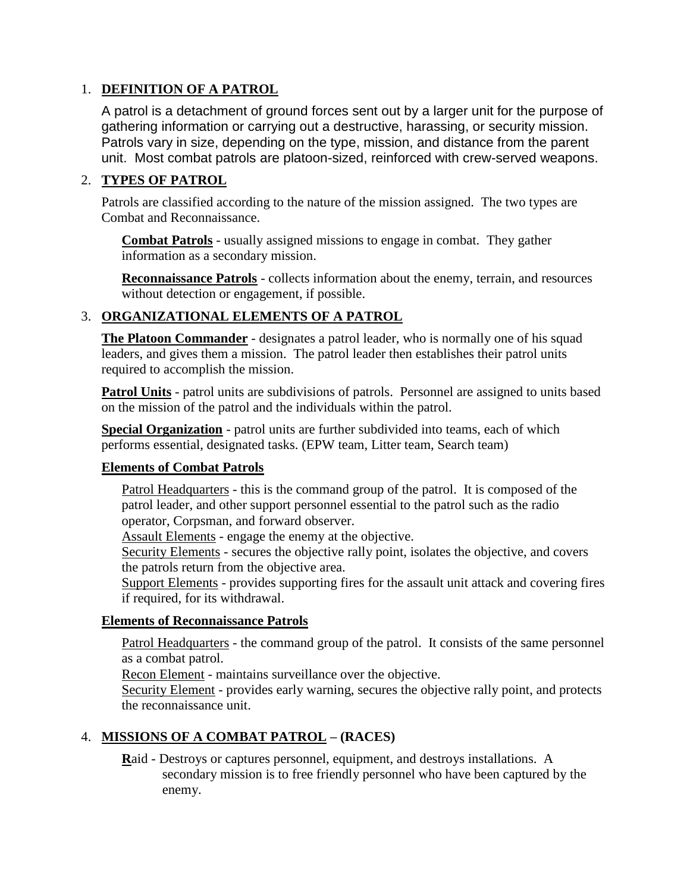## 1. **DEFINITION OF A PATROL**

A patrol is a detachment of ground forces sent out by a larger unit for the purpose of gathering information or carrying out a destructive, harassing, or security mission. Patrols vary in size, depending on the type, mission, and distance from the parent unit. Most combat patrols are platoon-sized, reinforced with crew-served weapons.

## 2. **TYPES OF PATROL**

Patrols are classified according to the nature of the mission assigned. The two types are Combat and Reconnaissance.

**Combat Patrols** - usually assigned missions to engage in combat. They gather information as a secondary mission.

**Reconnaissance Patrols** - collects information about the enemy, terrain, and resources without detection or engagement, if possible.

# 3. **ORGANIZATIONAL ELEMENTS OF A PATROL**

**The Platoon Commander** - designates a patrol leader, who is normally one of his squad leaders, and gives them a mission. The patrol leader then establishes their patrol units required to accomplish the mission.

Patrol Units - patrol units are subdivisions of patrols. Personnel are assigned to units based on the mission of the patrol and the individuals within the patrol.

**Special Organization** - patrol units are further subdivided into teams, each of which performs essential, designated tasks. (EPW team, Litter team, Search team)

## **Elements of Combat Patrols**

Patrol Headquarters - this is the command group of the patrol. It is composed of the patrol leader, and other support personnel essential to the patrol such as the radio operator, Corpsman, and forward observer.

Assault Elements - engage the enemy at the objective.

Security Elements - secures the objective rally point, isolates the objective, and covers the patrols return from the objective area.

Support Elements - provides supporting fires for the assault unit attack and covering fires if required, for its withdrawal.

## **Elements of Reconnaissance Patrols**

Patrol Headquarters - the command group of the patrol. It consists of the same personnel as a combat patrol.

Recon Element - maintains surveillance over the objective.

Security Element - provides early warning, secures the objective rally point, and protects the reconnaissance unit.

## 4. **MISSIONS OF A COMBAT PATROL – (RACES)**

**R**aid - Destroys or captures personnel, equipment, and destroys installations. A secondary mission is to free friendly personnel who have been captured by the enemy.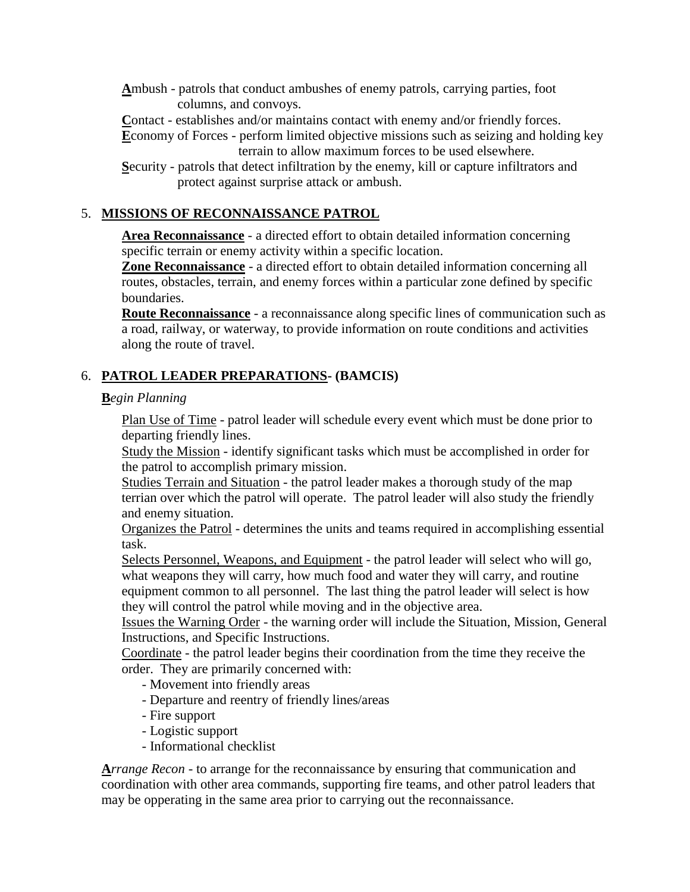**A**mbush - patrols that conduct ambushes of enemy patrols, carrying parties, foot columns, and convoys.

**C**ontact - establishes and/or maintains contact with enemy and/or friendly forces.

**E**conomy of Forces - perform limited objective missions such as seizing and holding key terrain to allow maximum forces to be used elsewhere.

**S**ecurity - patrols that detect infiltration by the enemy, kill or capture infiltrators and protect against surprise attack or ambush.

# 5. **MISSIONS OF RECONNAISSANCE PATROL**

**Area Reconnaissance** - a directed effort to obtain detailed information concerning specific terrain or enemy activity within a specific location.

**Zone Reconnaissance** - a directed effort to obtain detailed information concerning all routes, obstacles, terrain, and enemy forces within a particular zone defined by specific boundaries.

**Route Reconnaissance** - a reconnaissance along specific lines of communication such as a road, railway, or waterway, to provide information on route conditions and activities along the route of travel.

# 6. **PATROL LEADER PREPARATIONS- (BAMCIS)**

## **B***egin Planning*

Plan Use of Time - patrol leader will schedule every event which must be done prior to departing friendly lines.

Study the Mission - identify significant tasks which must be accomplished in order for the patrol to accomplish primary mission.

Studies Terrain and Situation - the patrol leader makes a thorough study of the map terrian over which the patrol will operate. The patrol leader will also study the friendly and enemy situation.

Organizes the Patrol - determines the units and teams required in accomplishing essential task.

Selects Personnel, Weapons, and Equipment - the patrol leader will select who will go, what weapons they will carry, how much food and water they will carry, and routine equipment common to all personnel. The last thing the patrol leader will select is how they will control the patrol while moving and in the objective area.

Issues the Warning Order - the warning order will include the Situation, Mission, General Instructions, and Specific Instructions.

Coordinate - the patrol leader begins their coordination from the time they receive the order. They are primarily concerned with:

- Movement into friendly areas

- Departure and reentry of friendly lines/areas
- Fire support
- Logistic support
- Informational checklist

**A***rrange Recon* - to arrange for the reconnaissance by ensuring that communication and coordination with other area commands, supporting fire teams, and other patrol leaders that may be opperating in the same area prior to carrying out the reconnaissance.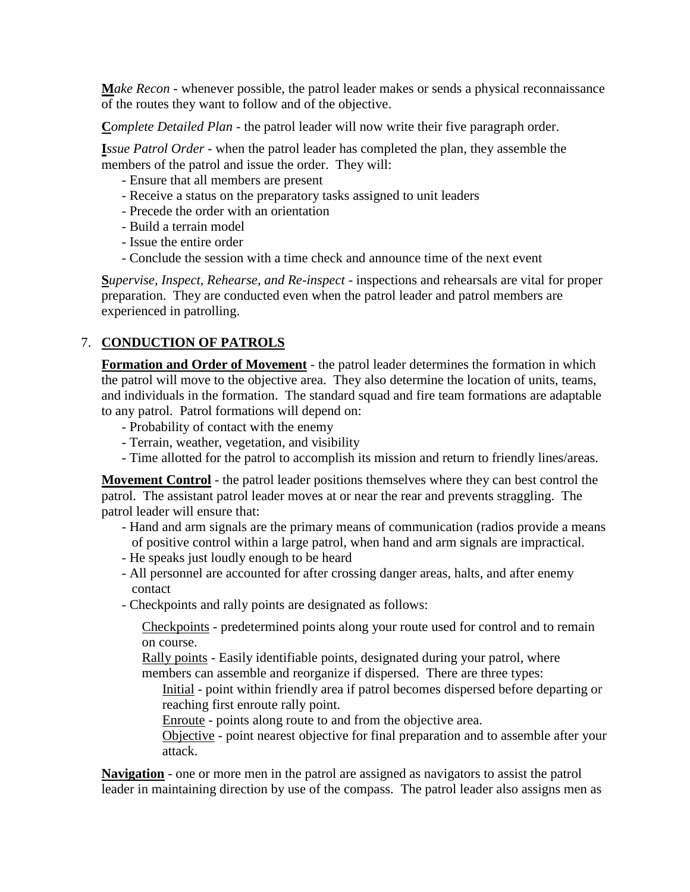**M***ake Recon* - whenever possible, the patrol leader makes or sends a physical reconnaissance of the routes they want to follow and of the objective.

**C***omplete Detailed Plan* - the patrol leader will now write their five paragraph order.

**I***ssue Patrol Order* - when the patrol leader has completed the plan, they assemble the members of the patrol and issue the order. They will:

- Ensure that all members are present
- Receive a status on the preparatory tasks assigned to unit leaders
- Precede the order with an orientation
- Build a terrain model
- Issue the entire order
- Conclude the session with a time check and announce time of the next event

**S***upervise, Inspect, Rehearse, and Re-inspect* - inspections and rehearsals are vital for proper preparation. They are conducted even when the patrol leader and patrol members are experienced in patrolling.

# 7. **CONDUCTION OF PATROLS**

**Formation and Order of Movement** - the patrol leader determines the formation in which the patrol will move to the objective area. They also determine the location of units, teams, and individuals in the formation. The standard squad and fire team formations are adaptable to any patrol. Patrol formations will depend on:

- Probability of contact with the enemy
- Terrain, weather, vegetation, and visibility
- Time allotted for the patrol to accomplish its mission and return to friendly lines/areas.

**Movement Control** - the patrol leader positions themselves where they can best control the patrol. The assistant patrol leader moves at or near the rear and prevents straggling. The patrol leader will ensure that:

- Hand and arm signals are the primary means of communication (radios provide a means of positive control within a large patrol, when hand and arm signals are impractical.
- He speaks just loudly enough to be heard
- All personnel are accounted for after crossing danger areas, halts, and after enemy contact
- Checkpoints and rally points are designated as follows:

Checkpoints - predetermined points along your route used for control and to remain on course.

Rally points - Easily identifiable points, designated during your patrol, where members can assemble and reorganize if dispersed. There are three types:

Initial - point within friendly area if patrol becomes dispersed before departing or reaching first enroute rally point.

Enroute - points along route to and from the objective area.

Objective - point nearest objective for final preparation and to assemble after your attack.

**Navigation** - one or more men in the patrol are assigned as navigators to assist the patrol leader in maintaining direction by use of the compass. The patrol leader also assigns men as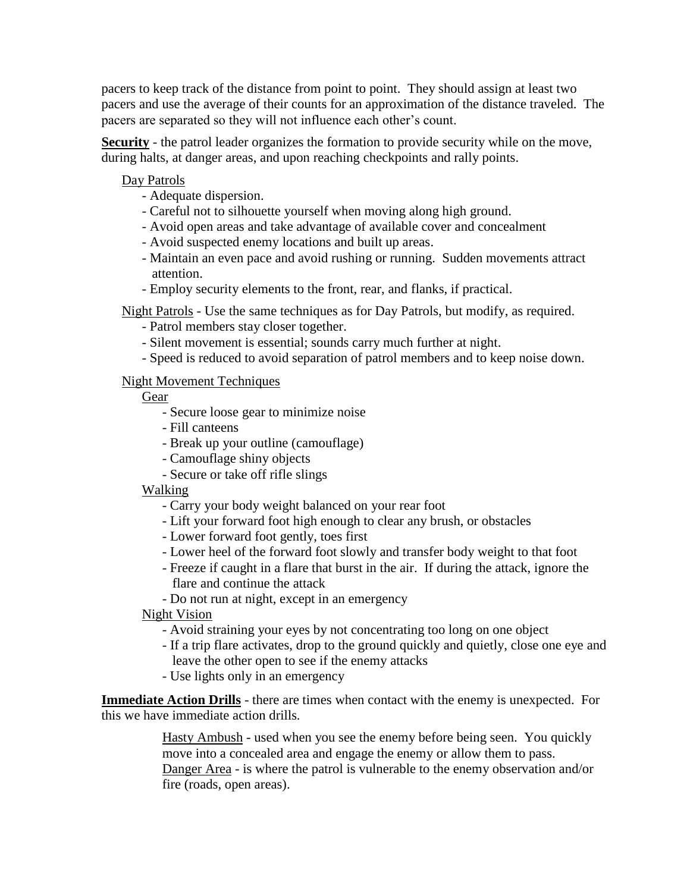pacers to keep track of the distance from point to point. They should assign at least two pacers and use the average of their counts for an approximation of the distance traveled. The pacers are separated so they will not influence each other"s count.

**Security** - the patrol leader organizes the formation to provide security while on the move, during halts, at danger areas, and upon reaching checkpoints and rally points.

Day Patrols

- Adequate dispersion.
- Careful not to silhouette yourself when moving along high ground.
- Avoid open areas and take advantage of available cover and concealment
- Avoid suspected enemy locations and built up areas.
- Maintain an even pace and avoid rushing or running. Sudden movements attract attention.
- Employ security elements to the front, rear, and flanks, if practical.

Night Patrols - Use the same techniques as for Day Patrols, but modify, as required.

- Patrol members stay closer together.
- Silent movement is essential; sounds carry much further at night.
- Speed is reduced to avoid separation of patrol members and to keep noise down.

## Night Movement Techniques

Gear

- Secure loose gear to minimize noise
- Fill canteens
- Break up your outline (camouflage)
- Camouflage shiny objects
- Secure or take off rifle slings
- Walking
	- Carry your body weight balanced on your rear foot
	- Lift your forward foot high enough to clear any brush, or obstacles
	- Lower forward foot gently, toes first
	- Lower heel of the forward foot slowly and transfer body weight to that foot
	- Freeze if caught in a flare that burst in the air. If during the attack, ignore the flare and continue the attack
	- Do not run at night, except in an emergency

Night Vision

- Avoid straining your eyes by not concentrating too long on one object
- If a trip flare activates, drop to the ground quickly and quietly, close one eye and leave the other open to see if the enemy attacks
- Use lights only in an emergency

**Immediate Action Drills** - there are times when contact with the enemy is unexpected. For this we have immediate action drills*.*

> Hasty Ambush - used when you see the enemy before being seen. You quickly move into a concealed area and engage the enemy or allow them to pass. Danger Area - is where the patrol is vulnerable to the enemy observation and/or fire (roads, open areas).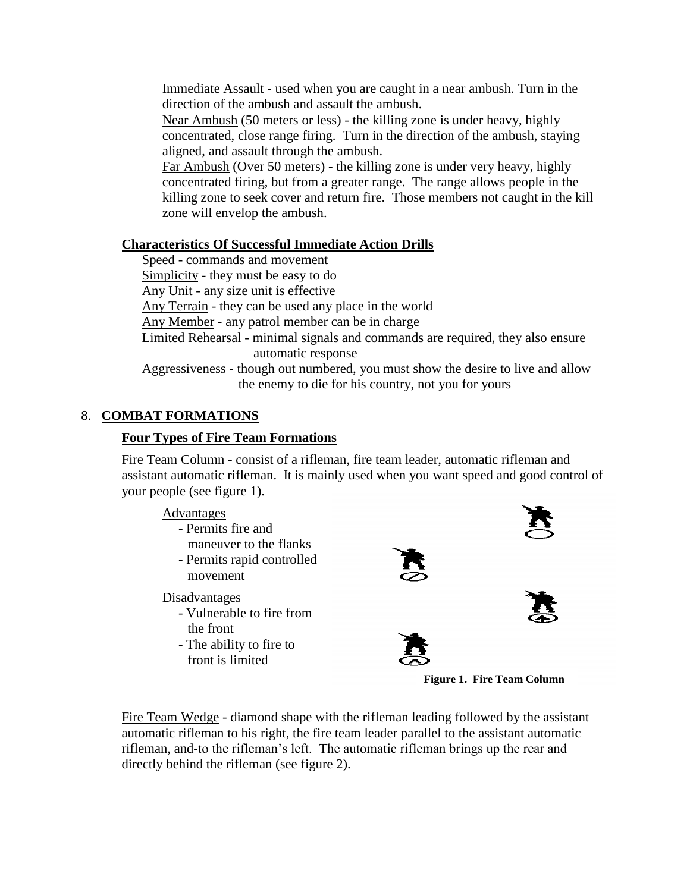Immediate Assault - used when you are caught in a near ambush. Turn in the direction of the ambush and assault the ambush.

Near Ambush (50 meters or less) - the killing zone is under heavy, highly concentrated, close range firing. Turn in the direction of the ambush, staying aligned, and assault through the ambush.

Far Ambush (Over 50 meters) - the killing zone is under very heavy, highly concentrated firing, but from a greater range. The range allows people in the killing zone to seek cover and return fire. Those members not caught in the kill zone will envelop the ambush.

## **Characteristics Of Successful Immediate Action Drills**

Speed - commands and movement Simplicity - they must be easy to do Any Unit - any size unit is effective Any Terrain - they can be used any place in the world Any Member - any patrol member can be in charge Limited Rehearsal - minimal signals and commands are required, they also ensure automatic response Aggressiveness - though out numbered, you must show the desire to live and allow the enemy to die for his country, not you for yours

# 8. **COMBAT FORMATIONS**

# **Four Types of Fire Team Formations**

Fire Team Column - consist of a rifleman, fire team leader, automatic rifleman and assistant automatic rifleman. It is mainly used when you want speed and good control of your people (see figure 1).

## Advantages

- Permits fire and maneuver to the flanks
- Permits rapid controlled movement

## Disadvantages

- Vulnerable to fire from the front
- The ability to fire to front is limited



**Figure 1. Fire Team Column**

Fire Team Wedge - diamond shape with the rifleman leading followed by the assistant automatic rifleman to his right, the fire team leader parallel to the assistant automatic rifleman, and-to the rifleman"s left. The automatic rifleman brings up the rear and directly behind the rifleman (see figure 2).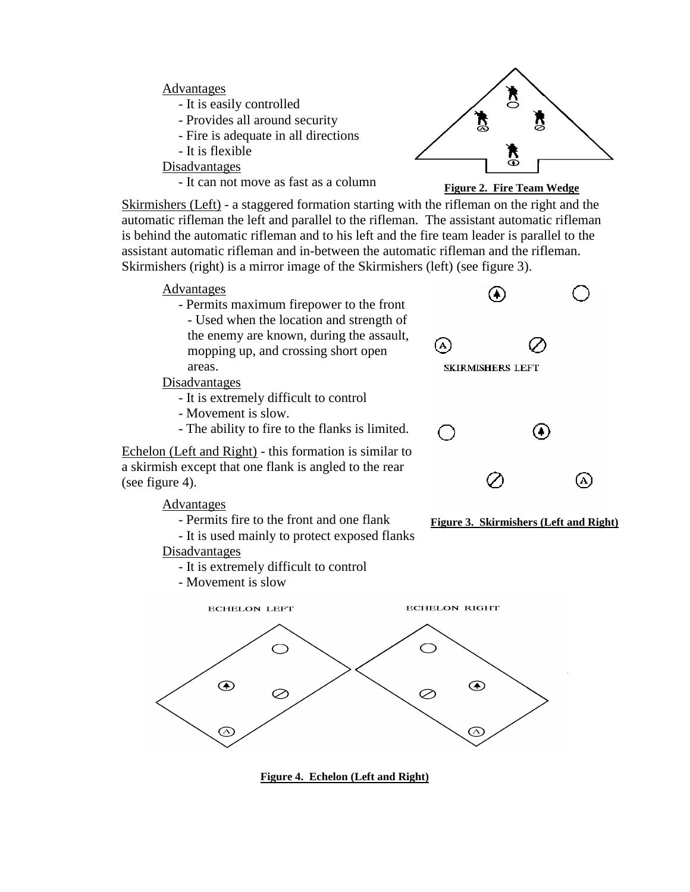Advantages

- It is easily controlled
- Provides all around security
- Fire is adequate in all directions
- It is flexible
- Disadvantages
	- It can not move as fast as a column





Skirmishers (Left) - a staggered formation starting with the rifleman on the right and the automatic rifleman the left and parallel to the rifleman. The assistant automatic rifleman is behind the automatic rifleman and to his left and the fire team leader is parallel to the assistant automatic rifleman and in-between the automatic rifleman and the rifleman. Skirmishers (right) is a mirror image of the Skirmishers (left) (see figure 3).

### Advantages

- Permits maximum firepower to the front - Used when the location and strength of the enemy are known, during the assault, mopping up, and crossing short open areas.

Disadvantages

- It is extremely difficult to control
- Movement is slow.
- The ability to fire to the flanks is limited.

Echelon (Left and Right) - this formation is similar to a skirmish except that one flank is angled to the rear (see figure 4).

Advantages

- Permits fire to the front and one flank
- It is used mainly to protect exposed flanks

**Disadvantages** 

- It is extremely difficult to control
- Movement is slow







**Figure 4. Echelon (Left and Right)**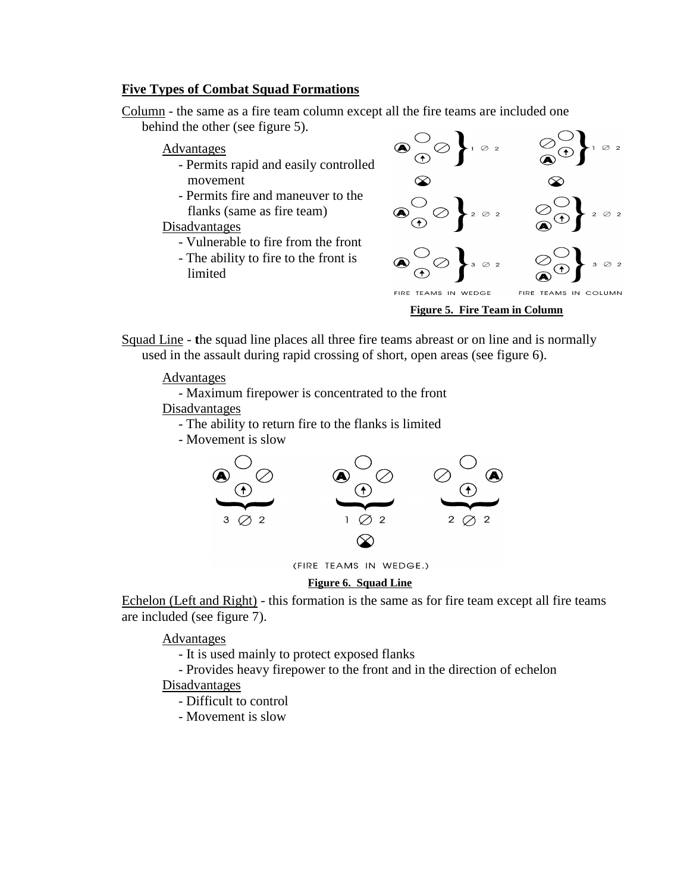### **Five Types of Combat Squad Formations**

Column - the same as a fire team column except all the fire teams are included one behind the other (see figure 5).

#### Advantages

- Permits rapid and easily controlled movement
- Permits fire and maneuver to the flanks (same as fire team)

### Disadvantages

- Vulnerable to fire from the front
- The ability to fire to the front is limited



### **Figure 5. Fire Team in Column**

Squad Line - **t**he squad line places all three fire teams abreast or on line and is normally used in the assault during rapid crossing of short, open areas (see figure 6).

### Advantages

- Maximum firepower is concentrated to the front

## **Disadvantages**

- The ability to return fire to the flanks is limited
- Movement is slow



(FIRE TEAMS IN WEDGE.)

## **Figure 6. Squad Line**

Echelon (Left and Right) - this formation is the same as for fire team except all fire teams are included (see figure 7).

Advantages

- It is used mainly to protect exposed flanks

- Provides heavy firepower to the front and in the direction of echelon

### Disadvantages

- Difficult to control
- Movement is slow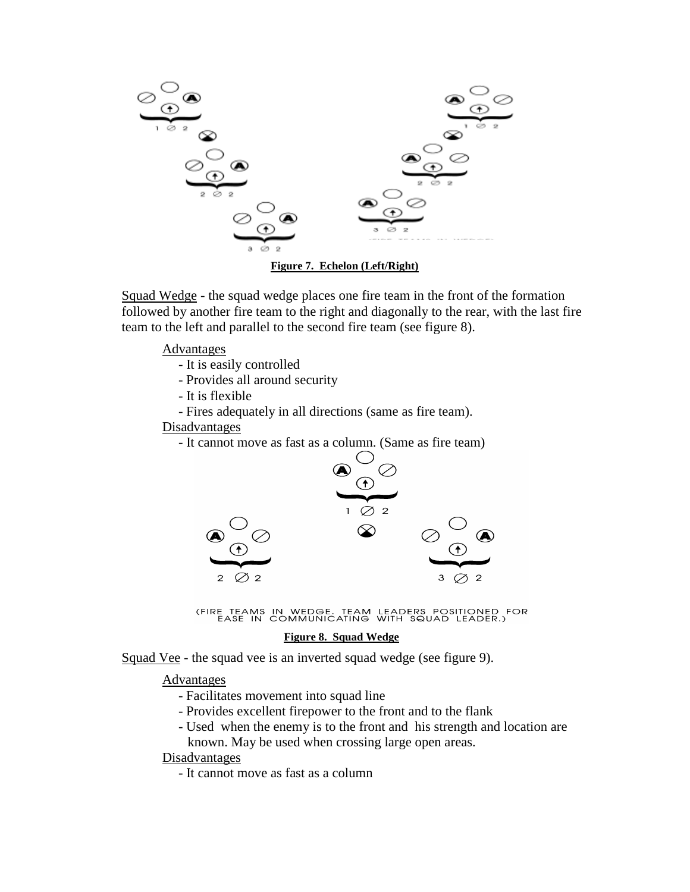

Squad Wedge - the squad wedge places one fire team in the front of the formation followed by another fire team to the right and diagonally to the rear, with the last fire team to the left and parallel to the second fire team (see figure 8).

#### Advantages

- It is easily controlled
- Provides all around security
- It is flexible
- Fires adequately in all directions (same as fire team).

## **Disadvantages**

- It cannot move as fast as a column. (Same as fire team)



(FIRE TEAMS IN WEDGE. TEAM LEADERS POSITIONED FOR<br>EASE IN COMMUNICATING WITH SQUAD LEADER.)

#### **Figure 8. Squad Wedge**

Squad Vee - the squad vee is an inverted squad wedge (see figure 9).

### Advantages

- Facilitates movement into squad line
- Provides excellent firepower to the front and to the flank
- Used when the enemy is to the front and his strength and location are known. May be used when crossing large open areas.

#### Disadvantages

- It cannot move as fast as a column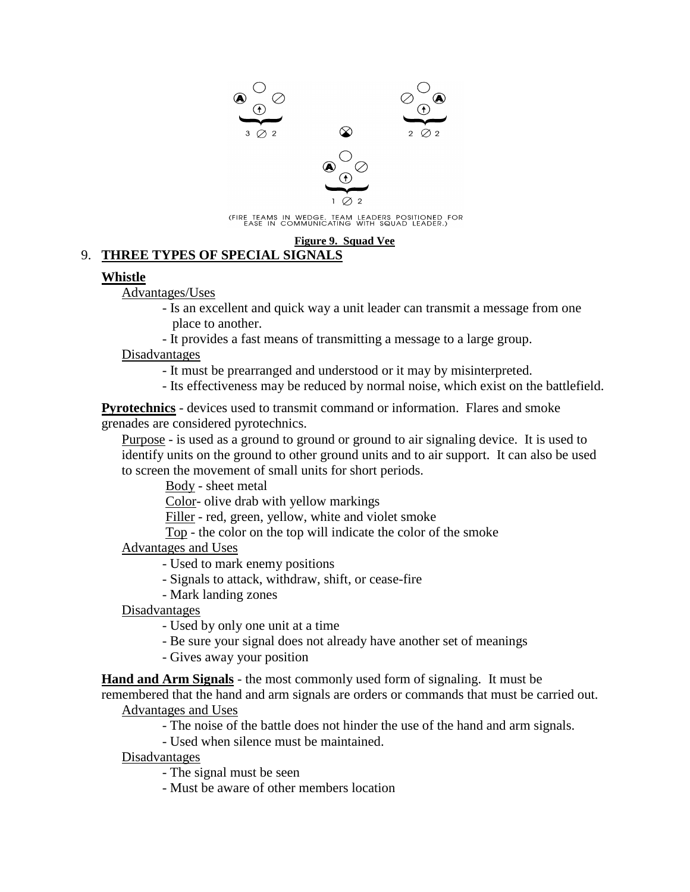

(FIRE TEAMS IN WEDGE. TEAM LEADERS POSITIONED FOR<br>EASE IN COMMUNICATING WITH SQUAD LEADER.)

#### **Figure 9. Squad Vee** 9. **THREE TYPES OF SPECIAL SIGNALS**

## **Whistle**

Advantages/Uses

- Is an excellent and quick way a unit leader can transmit a message from one place to another.
- It provides a fast means of transmitting a message to a large group.

Disadvantages

- It must be prearranged and understood or it may by misinterpreted.
- Its effectiveness may be reduced by normal noise, which exist on the battlefield.

**Pyrotechnics** - devices used to transmit command or information. Flares and smoke grenades are considered pyrotechnics.

Purpose - is used as a ground to ground or ground to air signaling device. It is used to identify units on the ground to other ground units and to air support. It can also be used to screen the movement of small units for short periods.

Body - sheet metal

Color- olive drab with yellow markings

Filler - red, green, yellow, white and violet smoke

Top - the color on the top will indicate the color of the smoke

Advantages and Uses

- Used to mark enemy positions

- Signals to attack, withdraw, shift, or cease-fire
- Mark landing zones

Disadvantages

- Used by only one unit at a time

- Be sure your signal does not already have another set of meanings
- Gives away your position

**Hand and Arm Signals** - the most commonly used form of signaling. It must be

remembered that the hand and arm signals are orders or commands that must be carried out. Advantages and Uses

- The noise of the battle does not hinder the use of the hand and arm signals.

- Used when silence must be maintained.

Disadvantages

- The signal must be seen

- Must be aware of other members location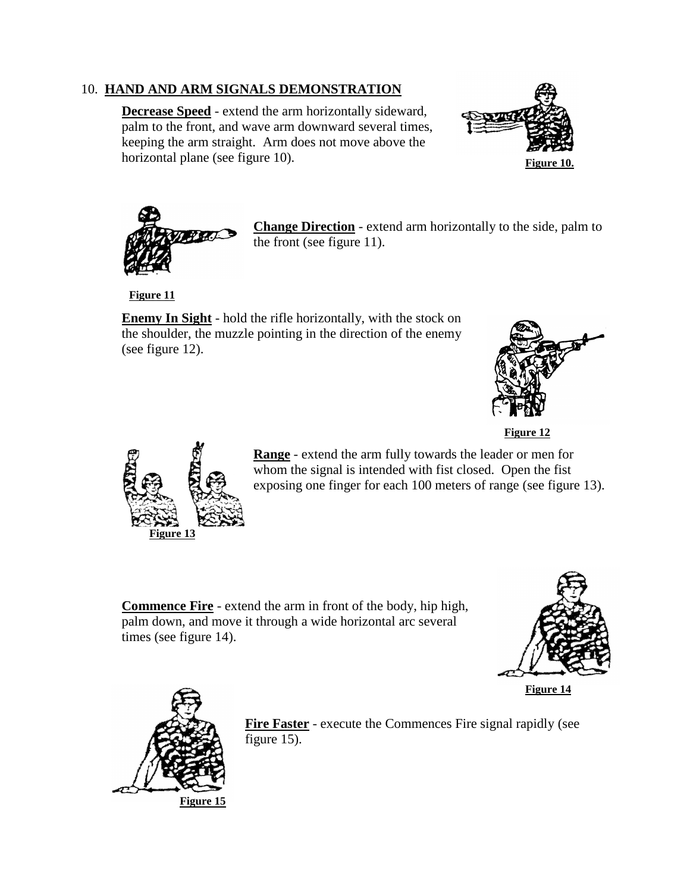# 10. **HAND AND ARM SIGNALS DEMONSTRATION**

**Decrease Speed** - extend the arm horizontally sideward, palm to the front, and wave arm downward several times, keeping the arm straight. Arm does not move above the horizontal plane (see figure 10).





**Change Direction** - extend arm horizontally to the side, palm to the front (see figure 11).

**Figure 11**

**Enemy In Sight** - hold the rifle horizontally, with the stock on the shoulder, the muzzle pointing in the direction of the enemy (see figure 12).



**Figure 12**



**Range** - extend the arm fully towards the leader or men for whom the signal is intended with fist closed. Open the fist exposing one finger for each 100 meters of range (see figure 13).

**Commence Fire** - extend the arm in front of the body, hip high, palm down, and move it through a wide horizontal arc several times (see figure 14).



**Figure 14**



**Fire Faster** - execute the Commences Fire signal rapidly (see figure 15).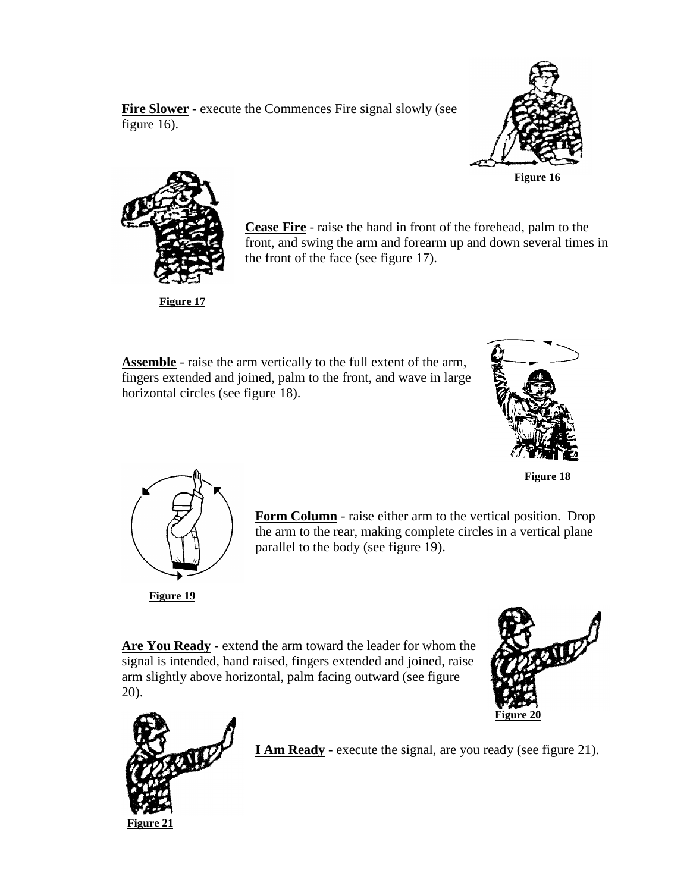**Fire Slower** - execute the Commences Fire signal slowly (see figure 16).





**Cease Fire** - raise the hand in front of the forehead, palm to the front, and swing the arm and forearm up and down several times in the front of the face (see figure 17).

**Assemble** - raise the arm vertically to the full extent of the arm, fingers extended and joined, palm to the front, and wave in large horizontal circles (see figure 18).



**Figure 18**



**Form Column** - raise either arm to the vertical position. Drop the arm to the rear, making complete circles in a vertical plane parallel to the body (see figure 19).

**Are You Ready** - extend the arm toward the leader for whom the signal is intended, hand raised, fingers extended and joined, raise arm slightly above horizontal, palm facing outward (see figure 20).





**I Am Ready** - execute the signal, are you ready (see figure 21).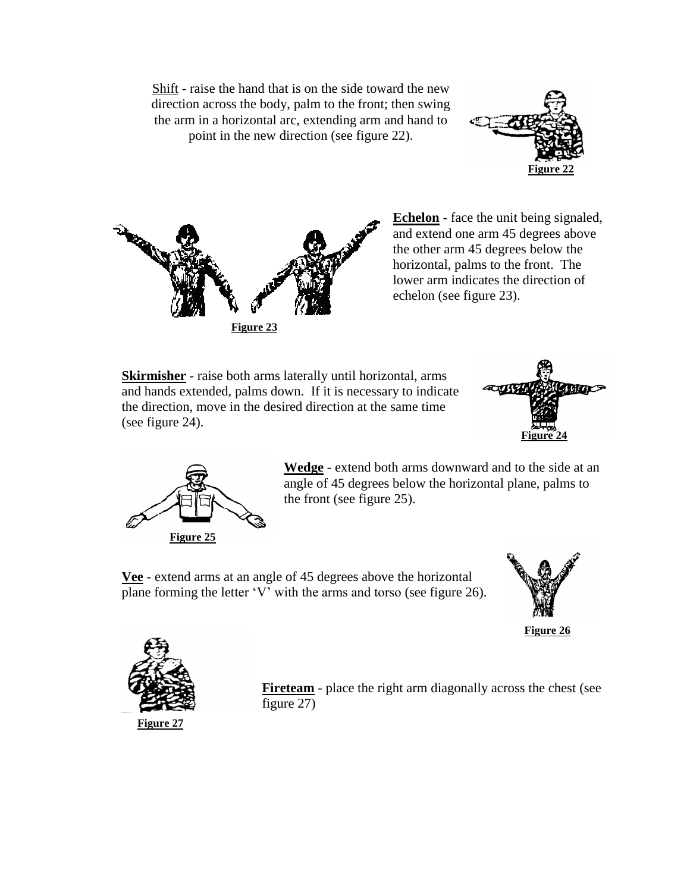Shift - raise the hand that is on the side toward the new direction across the body, palm to the front; then swing the arm in a horizontal arc, extending arm and hand to point in the new direction (see figure 22).





**Echelon** - face the unit being signaled, and extend one arm 45 degrees above the other arm 45 degrees below the horizontal, palms to the front. The lower arm indicates the direction of echelon (see figure 23).

**Skirmisher** - raise both arms laterally until horizontal, arms and hands extended, palms down. If it is necessary to indicate the direction, move in the desired direction at the same time (see figure 24).





**Wedge** - extend both arms downward and to the side at an angle of 45 degrees below the horizontal plane, palms to the front (see figure 25).

**Vee** - extend arms at an angle of 45 degrees above the horizontal plane forming the letter "V" with the arms and torso (see figure 26).





**Fireteam** - place the right arm diagonally across the chest (see figure 27)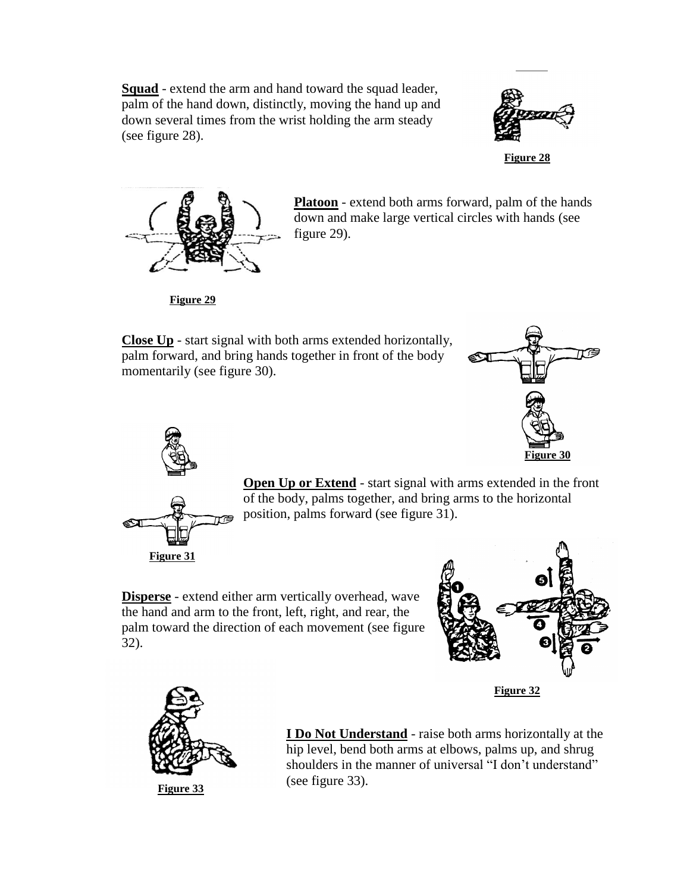**Squad** - extend the arm and hand toward the squad leader, palm of the hand down, distinctly, moving the hand up and down several times from the wrist holding the arm steady (see figure 28).



**Figure 28**



**Figure 29**

**Platoon** - extend both arms forward, palm of the hands down and make large vertical circles with hands (see figure 29).

**Close Up** - start signal with both arms extended horizontally, palm forward, and bring hands together in front of the body momentarily (see figure 30).





**Figure 31**

**Open Up or Extend** - start signal with arms extended in the front of the body, palms together, and bring arms to the horizontal position, palms forward (see figure 31).

**Disperse** - extend either arm vertically overhead, wave the hand and arm to the front, left, right, and rear, the palm toward the direction of each movement (see figure 32).





**I Do Not Understand** - raise both arms horizontally at the hip level, bend both arms at elbows, palms up, and shrug shoulders in the manner of universal "I don"t understand" (see figure 33).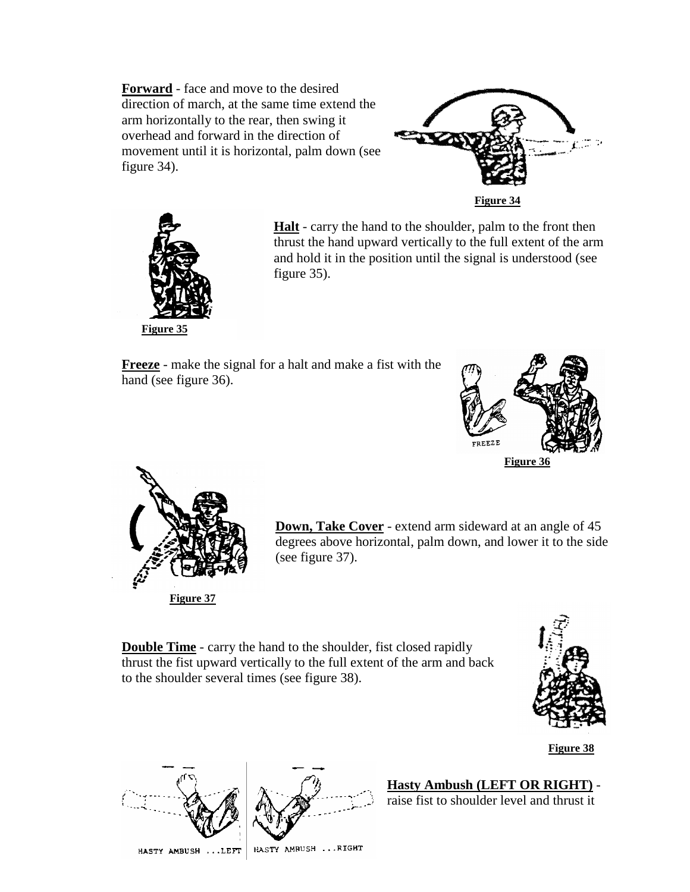**Forward** - face and move to the desired direction of march, at the same time extend the arm horizontally to the rear, then swing it overhead and forward in the direction of movement until it is horizontal, palm down (see figure 34).





**Halt** - carry the hand to the shoulder, palm to the front then thrust the hand upward vertically to the full extent of the arm and hold it in the position until the signal is understood (see figure 35).

**Freeze** - make the signal for a halt and make a fist with the hand (see figure 36).





**Down, Take Cover** - extend arm sideward at an angle of 45 degrees above horizontal, palm down, and lower it to the side (see figure 37).

**Double Time** - carry the hand to the shoulder, fist closed rapidly thrust the fist upward vertically to the full extent of the arm and back to the shoulder several times (see figure 38).



**Figure 38**

## **Hasty Ambush (LEFT OR RIGHT)** -

raise fist to shoulder level and thrust it